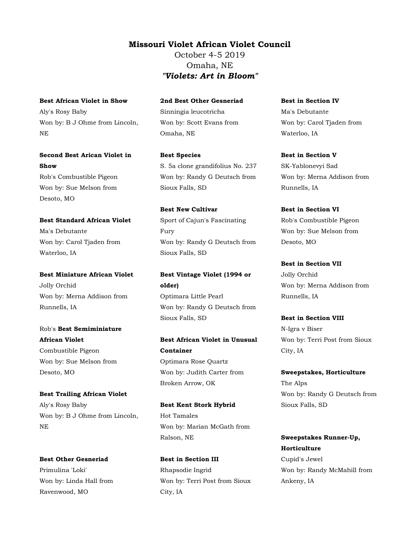### Missouri Violet African Violet Council

October 4-5 2019 Omaha, NE "Violets: Art in Bloom"

Best African Violet in Show Aly's Rosy Baby Won by: B J Ohme from Lincoln,

NE

Second Best Arican Violet in Show Rob's Combustible Pigeon Won by: Sue Melson from Desoto, MO

Best Standard African Violet Ma's Debutante Won by: Carol Tjaden from Waterloo, IA

Best Miniature African Violet Jolly Orchid Won by: Merna Addison from Runnells, IA

Rob's Best Semiminiature African Violet Combustible Pigeon Won by: Sue Melson from Desoto, MO

Best Trailing African Violet Aly's Rosy Baby Won by: B J Ohme from Lincoln, NE

Best Other Gesneriad Primulina 'Loki' Won by: Linda Hall from Ravenwood, MO

2nd Best Other Gesneriad Sinningia leucotricha Won by: Scott Evans from Omaha, NE

Best Species S. 5a clone grandifolius No. 237 Won by: Randy G Deutsch from Sioux Falls, SD

Best New Cultivar Sport of Cajun's Fascinating Fury Won by: Randy G Deutsch from Sioux Falls, SD

Best Vintage Violet (1994 or older) Optimara Little Pearl Won by: Randy G Deutsch from Sioux Falls, SD

Best African Violet in Unusual Container Optimara Rose Quartz Won by: Judith Carter from Broken Arrow, OK

Best Kent Stork Hybrid Hot Tamales Won by: Marian McGath from Ralson, NE

Best in Section III Rhapsodie Ingrid Won by: Terri Post from Sioux City, IA

Best in Section IV Ma's Debutante Won by: Carol Tjaden from Waterloo, IA

Best in Section V SK-Yablonevyi Sad Won by: Merna Addison from Runnells, IA

Best in Section VI Rob's Combustible Pigeon Won by: Sue Melson from Desoto, MO

Best in Section VII Jolly Orchid Won by: Merna Addison from Runnells, IA

Best in Section VIII N-Igra v Biser Won by: Terri Post from Sioux City, IA

Sweepstakes, Horticulture The Alps Won by: Randy G Deutsch from Sioux Falls, SD

Sweepstakes Runner-Up, **Horticulture** Cupid's Jewel Won by: Randy McMahill from Ankeny, IA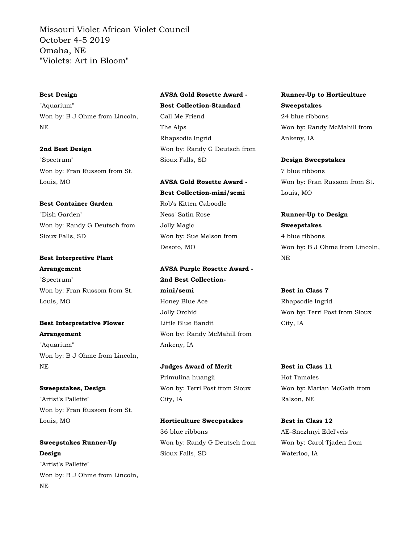#### Best Design

"Aquarium" Won by: B J Ohme from Lincoln, NE

#### 2nd Best Design

"Spectrum" Won by: Fran Russom from St. Louis, MO

#### Best Container Garden

"Dish Garden" Won by: Randy G Deutsch from Sioux Falls, SD

# Best Interpretive Plant Arrangement

"Spectrum" Won by: Fran Russom from St. Louis, MO

## Best Interpretative Flower Arrangement

"Aquarium" Won by: B J Ohme from Lincoln, NE

Sweepstakes, Design "Artist's Pallette" Won by: Fran Russom from St. Louis, MO

## Sweepstakes Runner-Up Design "Artist's Pallette" Won by: B J Ohme from Lincoln,

NE

## AVSA Gold Rosette Award - Best Collection-Standard Call Me Friend The Alps Rhapsodie Ingrid Won by: Randy G Deutsch from Sioux Falls, SD

AVSA Gold Rosette Award - Best Collection-mini/semi Rob's Kitten Caboodle Ness' Satin Rose Jolly Magic Won by: Sue Melson from Desoto, MO

AVSA Purple Rosette Award - 2nd Best Collectionmini/semi Honey Blue Ace Jolly Orchid Little Blue Bandit Won by: Randy McMahill from Ankeny, IA

Judges Award of Merit Primulina huangii Won by: Terri Post from Sioux City, IA

Horticulture Sweepstakes 36 blue ribbons Won by: Randy G Deutsch from Sioux Falls, SD

## Runner-Up to Horticulture Sweepstakes 24 blue ribbons Won by: Randy McMahill from Ankeny, IA

Design Sweepstakes 7 blue ribbons Won by: Fran Russom from St. Louis, MO

Runner-Up to Design Sweepstakes 4 blue ribbons Won by: B J Ohme from Lincoln, NE

Best in Class 7 Rhapsodie Ingrid Won by: Terri Post from Sioux City, IA

Best in Class 11 Hot Tamales Won by: Marian McGath from Ralson, NE

Best in Class 12 AE-Snezhnyi Edel'veis Won by: Carol Tjaden from Waterloo, IA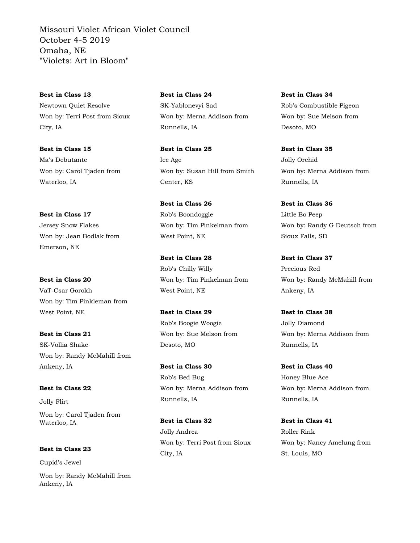Best in Class 13 Newtown Quiet Resolve Won by: Terri Post from Sioux City, IA

Best in Class 15 Ma's Debutante Won by: Carol Tjaden from Waterloo, IA

Best in Class 17 Jersey Snow Flakes Won by: Jean Bodlak from Emerson, NE

Best in Class 20 VaT-Csar Gorokh Won by: Tim Pinkleman from West Point, NE

Best in Class 21 SK-Vollia Shake Won by: Randy McMahill from Ankeny, IA

Best in Class 22 Jolly Flirt Won by: Carol Tjaden from

Waterloo, IA

Best in Class 23

Cupid's Jewel

Won by: Randy McMahill from Ankeny, IA

Best in Class 24 SK-Yablonevyi Sad Won by: Merna Addison from Runnells, IA

Best in Class 25 Ice Age Won by: Susan Hill from Smith Center, KS

Best in Class 26 Rob's Boondoggle Won by: Tim Pinkelman from West Point, NE

Best in Class 28 Rob's Chilly Willy Won by: Tim Pinkelman from West Point, NE

Best in Class 29 Rob's Boogie Woogie Won by: Sue Melson from Desoto, MO

Best in Class 30 Rob's Bed Bug Won by: Merna Addison from Runnells, IA

Best in Class 32 Jolly Andrea Won by: Terri Post from Sioux City, IA

Best in Class 34 Rob's Combustible Pigeon Won by: Sue Melson from Desoto, MO

Best in Class 35 Jolly Orchid Won by: Merna Addison from Runnells, IA

Best in Class 36 Little Bo Peep Won by: Randy G Deutsch from Sioux Falls, SD

Best in Class 37 Precious Red Won by: Randy McMahill from Ankeny, IA

Best in Class 38 Jolly Diamond Won by: Merna Addison from Runnells, IA

Best in Class 40 Honey Blue Ace Won by: Merna Addison from Runnells, IA

Best in Class 41 Roller Rink Won by: Nancy Amelung from St. Louis, MO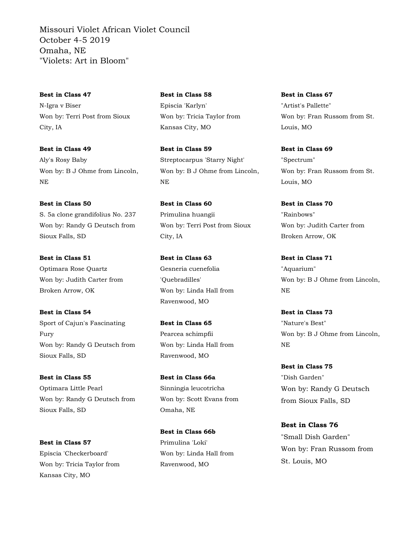Best in Class 47 N-Igra v Biser Won by: Terri Post from Sioux City, IA

Best in Class 49 Aly's Rosy Baby Won by: B J Ohme from Lincoln, NE

Best in Class 50 S. 5a clone grandifolius No. 237 Won by: Randy G Deutsch from Sioux Falls, SD

Best in Class 51 Optimara Rose Quartz Won by: Judith Carter from Broken Arrow, OK

Best in Class 54 Sport of Cajun's Fascinating Fury Won by: Randy G Deutsch from Sioux Falls, SD

Best in Class 55 Optimara Little Pearl Won by: Randy G Deutsch from Sioux Falls, SD

Best in Class 57 Episcia 'Checkerboard' Won by: Tricia Taylor from Kansas City, MO

Best in Class 58 Episcia 'Karlyn' Won by: Tricia Taylor from Kansas City, MO

Best in Class 59 Streptocarpus 'Starry Night' Won by: B J Ohme from Lincoln, NE

Best in Class 60 Primulina huangii Won by: Terri Post from Sioux City, IA

Best in Class 63 Gesneria cuenefolia 'Quebradilles' Won by: Linda Hall from Ravenwood, MO

Best in Class 65 Pearcea schimpfii Won by: Linda Hall from Ravenwood, MO

Best in Class 66a Sinningia leucotricha Won by: Scott Evans from Omaha, NE

Best in Class 66b Primulina 'Loki' Won by: Linda Hall from Ravenwood, MO

Best in Class 67 "Artist's Pallette" Won by: Fran Russom from St. Louis, MO

Best in Class 69 "Spectrum" Won by: Fran Russom from St. Louis, MO

Best in Class 70 "Rainbows" Won by: Judith Carter from Broken Arrow, OK

Best in Class 71 "Aquarium" Won by: B J Ohme from Lincoln, NE

Best in Class 73 "Nature's Best" Won by: B J Ohme from Lincoln, NE

Best in Class 75 "Dish Garden" Won by: Randy G Deutsch from Sioux Falls, SD

Best in Class 76 "Small Dish Garden" Won by: Fran Russom from St. Louis, MO